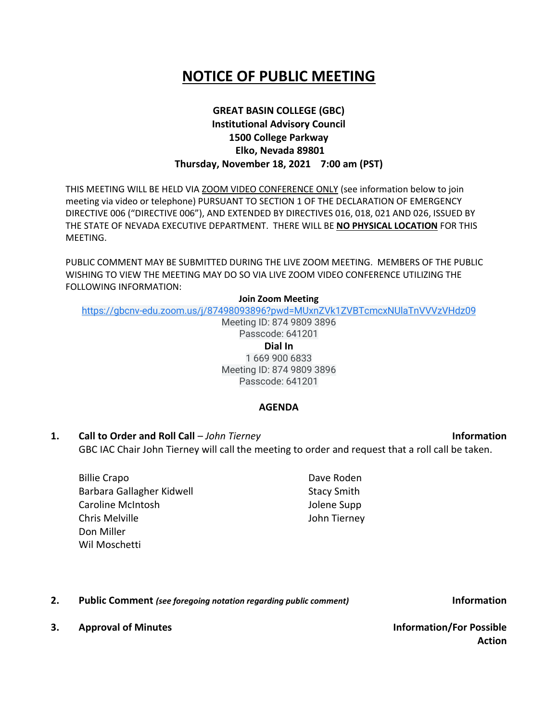# **NOTICE OF PUBLIC MEETING**

## **GREAT BASIN COLLEGE (GBC) Institutional Advisory Council 1500 College Parkway Elko, Nevada 89801 Thursday, November 18, 2021 7:00 am (PST)**

THIS MEETING WILL BE HELD VIA ZOOM VIDEO CONFERENCE ONLY (see information below to join meeting via video or telephone) PURSUANT TO SECTION 1 OF THE DECLARATION OF EMERGENCY DIRECTIVE 006 ("DIRECTIVE 006"), AND EXTENDED BY DIRECTIVES 016, 018, 021 AND 026, ISSUED BY THE STATE OF NEVADA EXECUTIVE DEPARTMENT. THERE WILL BE **NO PHYSICAL LOCATION** FOR THIS MEETING.

PUBLIC COMMENT MAY BE SUBMITTED DURING THE LIVE ZOOM MEETING. MEMBERS OF THE PUBLIC WISHING TO VIEW THE MEETING MAY DO SO VIA LIVE ZOOM VIDEO CONFERENCE UTILIZING THE FOLLOWING INFORMATION:

#### **Join Zoom Meeting**

[https://gbcnv-edu.zoom.us/j/87498093896?pwd=MUxnZVk1ZVBTcmcxNUlaTnVVVzVHdz09](https://www.google.com/url?q=https://gbcnv-edu.zoom.us/j/87498093896?pwd%3DMUxnZVk1ZVBTcmcxNUlaTnVVVzVHdz09&sa=D&source=calendar&ust=1637165432742685&usg=AOvVaw0ch_mBOuVpzFIkL1z_pXCa)

Meeting ID: 874 9809 3896 Passcode: 641201 **Dial In** 1 669 900 6833 Meeting ID: 874 9809 3896 Passcode: 641201

#### **AGENDA**

**1. Call to Order and Roll Call** – *John Tierney* **Information** GBC IAC Chair John Tierney will call the meeting to order and request that a roll call be taken.

Billie Crapo Barbara Gallagher Kidwell Caroline McIntosh Chris Melville Don Miller Wil Moschetti

Dave Roden Stacy Smith Jolene Supp John Tierney

**2. Public Comment** *(see foregoing notation regarding public comment)* **Information**

**3. Approval of Minutes Information/For Possible** 

**Action**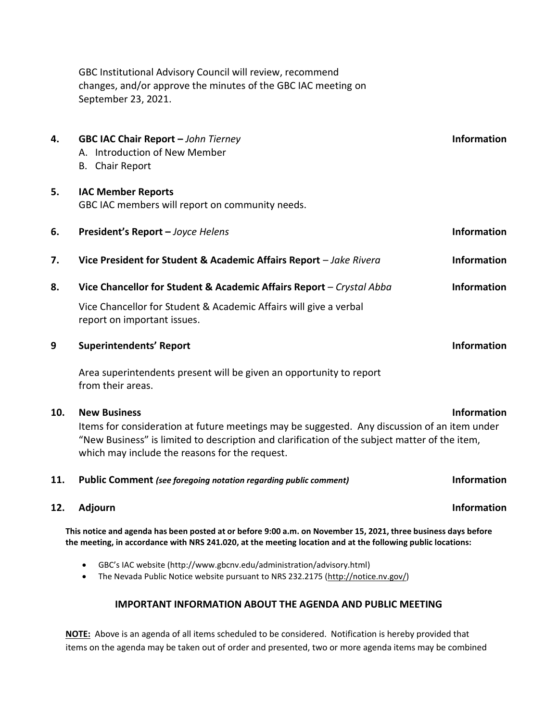GBC Institutional Advisory Council will review, recommend changes, and/or approve the minutes of the GBC IAC meeting on September 23, 2021.

| 4.                                                                                                                                                                                                                            | GBC IAC Chair Report - John Tierney<br>A. Introduction of New Member<br><b>B.</b> Chair Report                                                                                                                                                                         | Information        |
|-------------------------------------------------------------------------------------------------------------------------------------------------------------------------------------------------------------------------------|------------------------------------------------------------------------------------------------------------------------------------------------------------------------------------------------------------------------------------------------------------------------|--------------------|
| 5.                                                                                                                                                                                                                            | <b>IAC Member Reports</b><br>GBC IAC members will report on community needs.                                                                                                                                                                                           |                    |
| 6.                                                                                                                                                                                                                            | President's Report - Joyce Helens                                                                                                                                                                                                                                      | <b>Information</b> |
| 7.                                                                                                                                                                                                                            | Vice President for Student & Academic Affairs Report - Jake Rivera                                                                                                                                                                                                     | <b>Information</b> |
| 8.                                                                                                                                                                                                                            | Vice Chancellor for Student & Academic Affairs Report - Crystal Abba                                                                                                                                                                                                   | <b>Information</b> |
|                                                                                                                                                                                                                               | Vice Chancellor for Student & Academic Affairs will give a verbal<br>report on important issues.                                                                                                                                                                       |                    |
| 9                                                                                                                                                                                                                             | <b>Superintendents' Report</b>                                                                                                                                                                                                                                         | <b>Information</b> |
|                                                                                                                                                                                                                               | Area superintendents present will be given an opportunity to report<br>from their areas.                                                                                                                                                                               |                    |
| 10.                                                                                                                                                                                                                           | <b>New Business</b><br>Items for consideration at future meetings may be suggested. Any discussion of an item under<br>"New Business" is limited to description and clarification of the subject matter of the item,<br>which may include the reasons for the request. | <b>Information</b> |
| 11.                                                                                                                                                                                                                           | Public Comment (see foregoing notation regarding public comment)                                                                                                                                                                                                       | <b>Information</b> |
| 12.                                                                                                                                                                                                                           | Adjourn                                                                                                                                                                                                                                                                | <b>Information</b> |
| This notice and agenda has been posted at or before 9:00 a.m. on November 15, 2021, three business days before<br>the meeting, in accordance with NRS 241.020, at the meeting location and at the following public locations: |                                                                                                                                                                                                                                                                        |                    |
|                                                                                                                                                                                                                               | GBC's IAC website (http://www.gbcnv.edu/administration/advisory.html)<br>The Nevada Public Notice website pursuant to NRS 232.2175 (http://notice.nv.gov/)<br>$\bullet$                                                                                                |                    |

### **IMPORTANT INFORMATION ABOUT THE AGENDA AND PUBLIC MEETING**

**NOTE:** Above is an agenda of all items scheduled to be considered. Notification is hereby provided that items on the agenda may be taken out of order and presented, two or more agenda items may be combined